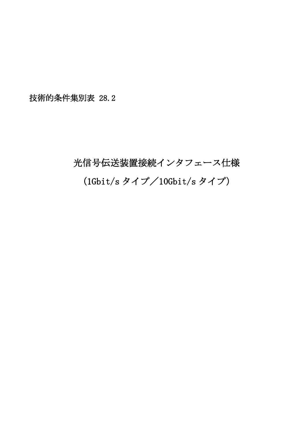技術的条件集別表 28.2

## 光信号伝送装置接続インタフェース仕様 (1Gbit/s タイプ/10Gbit/s タイプ)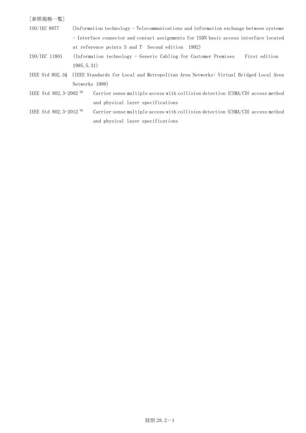## [参照規格一覧]

- ISO/IEC 8877 (Information technology Telecommunications and information exchange between systems - Interface connector and contact assignments for ISDN basic access interface located at reference points S and T Second edition 1992)
- ISO/IEC 11801 (Information technology Generic Cabling for Customer Premises First edition 1995.5.31)
- IEEE Std 802.1Q (IEEE Standards for Local and Metropolitan Area Networks: Virtual Bridged Local Area Networks 1998)
- IEEE Std 802.3-2002 TM Carrier sense multiple access with collision detection (CSMA/CD) access method and physical layer specifications
- IEEE Std 802.3-2012 TM Carrier sense multiple access with collision detection (CSMA/CD) access method and physical layer specifications